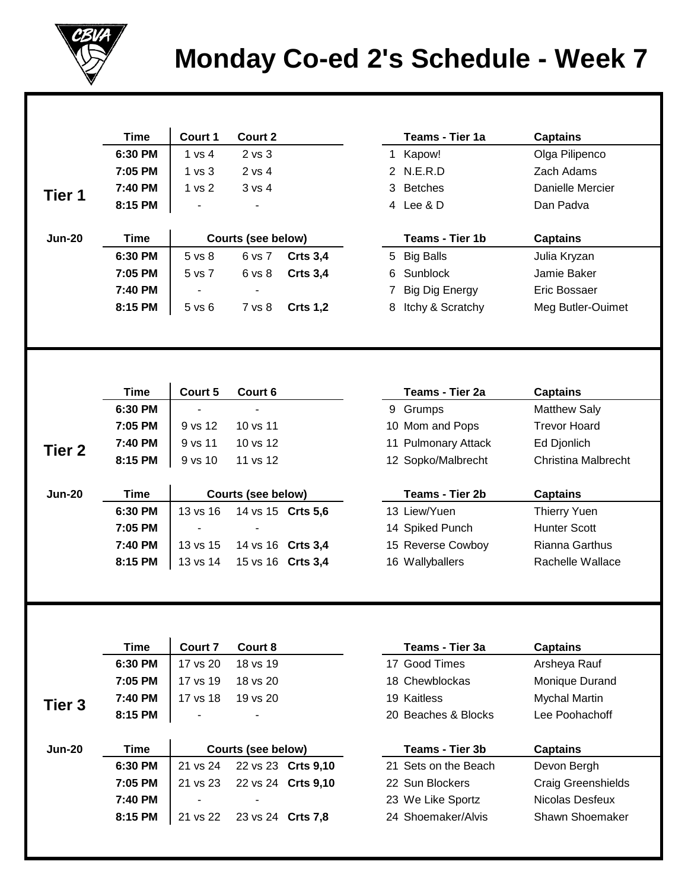

## **Monday Co-ed 2's Schedule - Week 7**

|                   | <b>Time</b>        | Court 1           | Court 2                   |                    |   | Teams - Tier 1a                         | <b>Captains</b>                    |
|-------------------|--------------------|-------------------|---------------------------|--------------------|---|-----------------------------------------|------------------------------------|
|                   | 6:30 PM            | 1 vs 4            | 2 vs 3                    |                    |   | 1 Kapow!                                | Olga Pilipenco                     |
|                   | 7:05 PM            | 1 <sub>vs</sub> 3 | 2 vs 4                    |                    |   | 2 N.E.R.D                               | Zach Adams                         |
|                   | 7:40 PM            | 1 <sub>vs</sub> 2 | 3 vs 4                    |                    | 3 | <b>Betches</b>                          | Danielle Mercier                   |
| Tier 1            | 8:15 PM            |                   |                           |                    |   | 4 Lee & D                               | Dan Padva                          |
|                   |                    |                   |                           |                    |   |                                         |                                    |
| <b>Jun-20</b>     | <b>Time</b>        |                   | <b>Courts (see below)</b> |                    |   | Teams - Tier 1b                         | <b>Captains</b>                    |
|                   | 6:30 PM            | 5 vs 8            | 6 vs 7                    | <b>Crts 3,4</b>    |   | 5 Big Balls                             | Julia Kryzan                       |
|                   | 7:05 PM            | 5 vs 7            | 6 vs 8                    | <b>Crts 3,4</b>    | 6 | Sunblock                                | Jamie Baker                        |
|                   | 7:40 PM            |                   | $\blacksquare$            |                    | 7 | <b>Big Dig Energy</b>                   | Eric Bossaer                       |
|                   | 8:15 PM            | $5$ vs $6$        | 7 vs 8                    | <b>Crts 1,2</b>    | 8 | Itchy & Scratchy                        | Meg Butler-Ouimet                  |
|                   |                    |                   |                           |                    |   |                                         |                                    |
|                   |                    |                   |                           |                    |   |                                         |                                    |
|                   |                    |                   |                           |                    |   |                                         |                                    |
|                   | <b>Time</b>        | Court 5           | Court 6                   |                    |   | Teams - Tier 2a                         | <b>Captains</b>                    |
|                   | 6:30 PM            | $\blacksquare$    | $\mathbf{r}$              |                    |   | 9 Grumps                                | <b>Matthew Saly</b>                |
| Tier <sub>2</sub> | 7:05 PM            | 9 vs 12           | 10 vs 11                  |                    |   | 10 Mom and Pops                         | <b>Trevor Hoard</b>                |
|                   | 7:40 PM            | 9 vs 11           | 10 vs 12                  |                    |   | 11 Pulmonary Attack                     | Ed Djonlich                        |
|                   | 8:15 PM            | 9 vs 10           | 11 vs 12                  |                    |   | 12 Sopko/Malbrecht                      | <b>Christina Malbrecht</b>         |
|                   |                    |                   |                           |                    |   |                                         |                                    |
|                   |                    |                   |                           |                    |   |                                         |                                    |
| <b>Jun-20</b>     | <b>Time</b>        |                   | <b>Courts (see below)</b> |                    |   | <b>Teams - Tier 2b</b>                  | <b>Captains</b>                    |
|                   | 6:30 PM            | 13 vs 16          | 14 vs 15 Crts 5,6         |                    |   | 13 Liew/Yuen                            | <b>Thierry Yuen</b>                |
|                   | 7:05 PM            |                   |                           |                    |   | 14 Spiked Punch                         | <b>Hunter Scott</b>                |
|                   | 7:40 PM            | 13 vs 15          | 14 vs 16 Crts 3,4         |                    |   | 15 Reverse Cowboy                       | Rianna Garthus                     |
|                   | 8:15 PM            | 13 vs 14          | 15 vs 16 Crts 3,4         |                    |   | 16 Wallyballers                         | Rachelle Wallace                   |
|                   |                    |                   |                           |                    |   |                                         |                                    |
|                   |                    |                   |                           |                    |   |                                         |                                    |
|                   |                    |                   |                           |                    |   |                                         |                                    |
|                   | <b>Time</b>        | <b>Court 7</b>    | Court 8                   |                    |   | Teams - Tier 3a                         | <b>Captains</b>                    |
|                   | 6:30 PM            | 17 vs 20          | 18 vs 19                  |                    |   | 17 Good Times                           | Arsheya Rauf                       |
|                   | 7:05 PM            | 17 vs 19          | 18 vs 20                  |                    |   | 18 Chewblockas                          | Monique Durand                     |
|                   | 7:40 PM            | 17 vs 18          | 19 vs 20                  |                    |   | 19 Kaitless                             | <b>Mychal Martin</b>               |
| Tier <sub>3</sub> | 8:15 PM            |                   |                           |                    |   | 20 Beaches & Blocks                     | Lee Poohachoff                     |
|                   |                    |                   |                           |                    |   |                                         |                                    |
| <b>Jun-20</b>     | <b>Time</b>        |                   | <b>Courts (see below)</b> |                    |   | Teams - Tier 3b                         | <b>Captains</b>                    |
|                   | 6:30 PM            | 21 vs 24          |                           | 22 vs 23 Crts 9,10 |   | 21 Sets on the Beach                    | Devon Bergh                        |
|                   | 7:05 PM            | 21 vs 23          |                           | 22 vs 24 Crts 9,10 |   | 22 Sun Blockers                         | <b>Craig Greenshields</b>          |
|                   | 7:40 PM<br>8:15 PM | 21 vs 22          | 23 vs 24 Crts 7,8         |                    |   | 23 We Like Sportz<br>24 Shoemaker/Alvis | Nicolas Desfeux<br>Shawn Shoemaker |